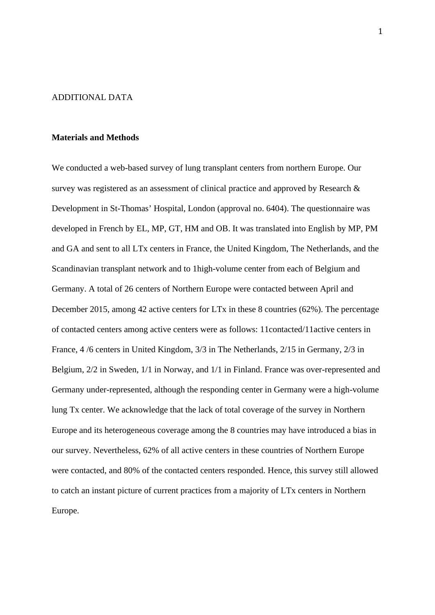### ADDITIONAL DATA

#### **Materials and Methods**

We conducted a web-based survey of lung transplant centers from northern Europe. Our survey was registered as an assessment of clinical practice and approved by Research & Development in St-Thomas' Hospital, London (approval no. 6404). The questionnaire was developed in French by EL, MP, GT, HM and OB. It was translated into English by MP, PM and GA and sent to all LTx centers in France, the United Kingdom, The Netherlands, and the Scandinavian transplant network and to 1high-volume center from each of Belgium and Germany. A total of 26 centers of Northern Europe were contacted between April and December 2015, among 42 active centers for LTx in these 8 countries (62%). The percentage of contacted centers among active centers were as follows: 11contacted/11active centers in France, 4 /6 centers in United Kingdom, 3/3 in The Netherlands, 2/15 in Germany, 2/3 in Belgium, 2/2 in Sweden, 1/1 in Norway, and 1/1 in Finland. France was over-represented and Germany under-represented, although the responding center in Germany were a high-volume lung Tx center. We acknowledge that the lack of total coverage of the survey in Northern Europe and its heterogeneous coverage among the 8 countries may have introduced a bias in our survey. Nevertheless, 62% of all active centers in these countries of Northern Europe were contacted, and 80% of the contacted centers responded. Hence, this survey still allowed to catch an instant picture of current practices from a majority of LTx centers in Northern Europe.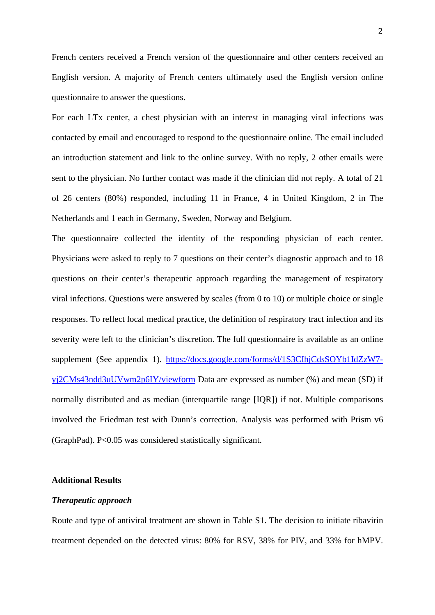French centers received a French version of the questionnaire and other centers received an English version. A majority of French centers ultimately used the English version online questionnaire to answer the questions.

For each LTx center, a chest physician with an interest in managing viral infections was contacted by email and encouraged to respond to the questionnaire online. The email included an introduction statement and link to the online survey. With no reply, 2 other emails were sent to the physician. No further contact was made if the clinician did not reply. A total of 21 of 26 centers (80%) responded, including 11 in France, 4 in United Kingdom, 2 in The Netherlands and 1 each in Germany, Sweden, Norway and Belgium.

The questionnaire collected the identity of the responding physician of each center. Physicians were asked to reply to 7 questions on their center's diagnostic approach and to 18 questions on their center's therapeutic approach regarding the management of respiratory viral infections. Questions were answered by scales (from 0 to 10) or multiple choice or single responses. To reflect local medical practice, the definition of respiratory tract infection and its severity were left to the clinician's discretion. The full questionnaire is available as an online supplement (See appendix 1). [https://docs.google.com/forms/d/1S3CIhjCdsSOYb1IdZzW7](https://docs.google.com/forms/d/1S3CIhjCdsSOYb1IdZzW7-yj2CMs43ndd3uUVwm2p6IY/viewform) [yj2CMs43ndd3uUVwm2p6IY/viewform](https://docs.google.com/forms/d/1S3CIhjCdsSOYb1IdZzW7-yj2CMs43ndd3uUVwm2p6IY/viewform) Data are expressed as number (%) and mean (SD) if normally distributed and as median (interquartile range [IQR]) if not. Multiple comparisons involved the Friedman test with Dunn's correction. Analysis was performed with Prism v6 (GraphPad). P<0.05 was considered statistically significant.

# **Additional Results**

# *Therapeutic approach*

Route and type of antiviral treatment are shown in Table S1. The decision to initiate ribavirin treatment depended on the detected virus: 80% for RSV, 38% for PIV, and 33% for hMPV.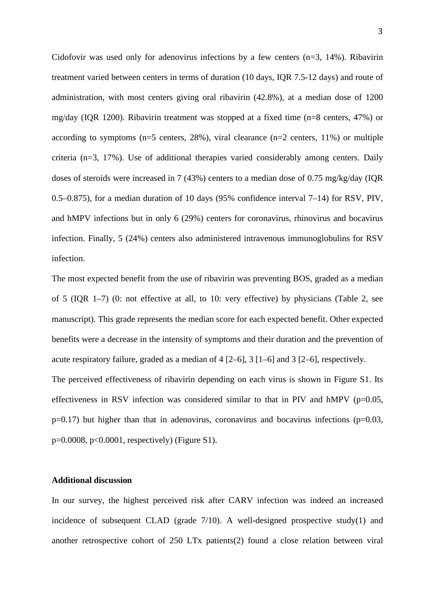Cidofovir was used only for adenovirus infections by a few centers  $(n=3, 14)$ . Ribavirin treatment varied between centers in terms of duration (10 days, IQR 7.5-12 days) and route of administration, with most centers giving oral ribavirin (42.8%), at a median dose of 1200 mg/day (IQR 1200). Ribavirin treatment was stopped at a fixed time (n=8 centers, 47%) or according to symptoms ( $n=5$  centers, 28%), viral clearance ( $n=2$  centers, 11%) or multiple criteria (n=3, 17%). Use of additional therapies varied considerably among centers. Daily doses of steroids were increased in 7 (43%) centers to a median dose of 0.75 mg/kg/day (IQR 0.5–0.875), for a median duration of 10 days (95% confidence interval 7–14) for RSV, PIV, and hMPV infections but in only 6 (29%) centers for coronavirus, rhinovirus and bocavirus infection. Finally, 5 (24%) centers also administered intravenous immunoglobulins for RSV infection.

The most expected benefit from the use of ribavirin was preventing BOS, graded as a median of 5 (IQR 1–7) (0: not effective at all, to 10: very effective) by physicians (Table 2, see manuscript). This grade represents the median score for each expected benefit. Other expected benefits were a decrease in the intensity of symptoms and their duration and the prevention of acute respiratory failure, graded as a median of 4 [2–6], 3 [1–6] and 3 [2–6], respectively. The perceived effectiveness of ribavirin depending on each virus is shown in Figure S1. Its

effectiveness in RSV infection was considered similar to that in PIV and hMPV ( $p=0.05$ ,  $p=0.17$ ) but higher than that in adenovirus, coronavirus and bocavirus infections ( $p=0.03$ , p=0.0008, p<0.0001, respectively) (Figure S1).

# **Additional discussion**

In our survey, the highest perceived risk after CARV infection was indeed an increased incidence of subsequent CLAD (grade 7/10). A well-designed prospective study(1) and another retrospective cohort of 250 LTx patients(2) found a close relation between viral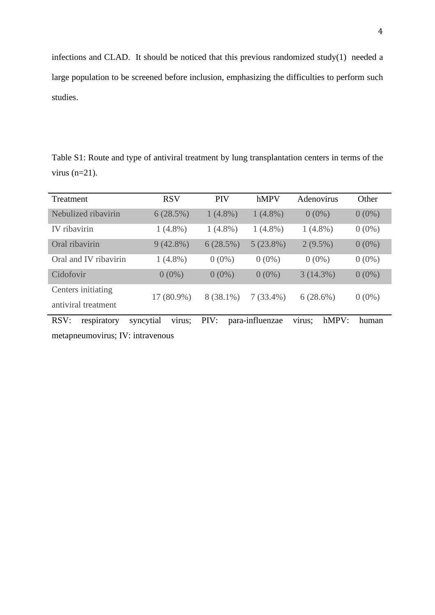infections and CLAD. It should be noticed that this previous randomized study(1) needed a large population to be screened before inclusion, emphasizing the difficulties to perform such studies.

Table S1: Route and type of antiviral treatment by lung transplantation centers in terms of the virus  $(n=21)$ .

| Treatment                                 | <b>RSV</b>          | <b>PIV</b>  | hMPV            | Adenovirus      | Other    |
|-------------------------------------------|---------------------|-------------|-----------------|-----------------|----------|
| Nebulized ribavirin                       | 6(28.5%)            | $1(4.8\%)$  | $1(4.8\%)$      | $0(0\%)$        | $0(0\%)$ |
| IV ribavirin                              | $1(4.8\%)$          | $1(4.8\%)$  | $1(4.8\%)$      | $1(4.8\%)$      | $0(0\%)$ |
| Oral ribavirin                            | $9(42.8\%)$         | 6(28.5%)    | 5(23.8%)        | $2(9.5\%)$      | $0(0\%)$ |
| Oral and IV ribavirin                     | $1(4.8\%)$          | $0(0\%)$    | $0(0\%)$        | $0(0\%)$        | $0(0\%)$ |
| Cidofovir                                 | $0(0\%)$            | $0(0\%)$    | $0(0\%)$        | 3(14.3%)        | $0(0\%)$ |
| Centers initiating<br>antiviral treatment | 17 (80.9%)          | $8(38.1\%)$ | $7(33.4\%)$     | 6(28.6%)        | $0(0\%)$ |
| RSV:<br>respiratory                       | syncytial<br>virus; | PIV:        | para-influenzae | hMPV:<br>virus; | human    |
| .                                         |                     |             |                 |                 |          |

metapneumovirus; IV: intravenous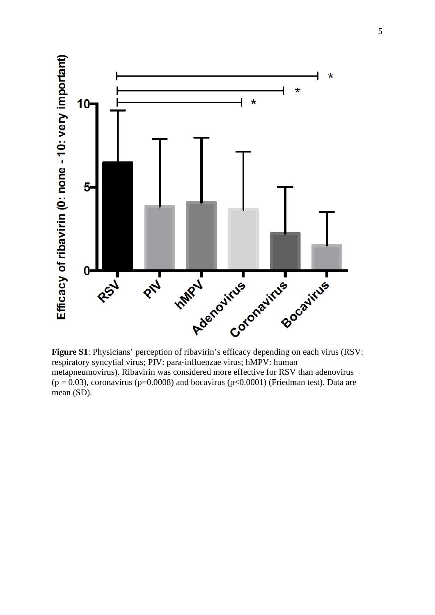

**Figure S1**: Physicians' perception of ribavirin's efficacy depending on each virus (RSV: respiratory syncytial virus; PIV: para-influenzae virus; hMPV: human metapneumovirus). Ribavirin was considered more effective for RSV than adenovirus  $(p = 0.03)$ , coronavirus (p=0.0008) and bocavirus (p<0.0001) (Friedman test). Data are mean (SD).